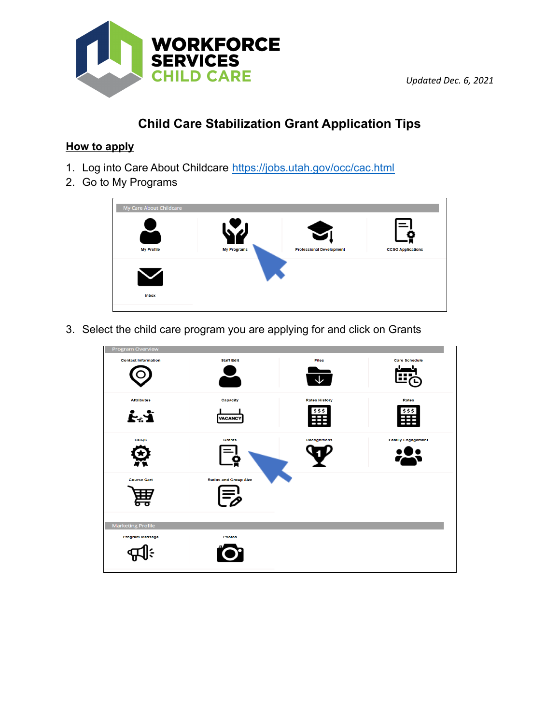

*Updated Dec. 6, 2021*

# **Child Care Stabilization Grant Application Tips**

## **How to apply**

- 1. Log into Care About Childcare https://jobs.utah.gov/occ/cac.html
- 2. Go to My Programs

| My Care About Childcare |                    |                                                          |                          |
|-------------------------|--------------------|----------------------------------------------------------|--------------------------|
| <b>My Profile</b>       | <b>My Programs</b> | $\blacktriangleright$<br><b>Professional Development</b> | <b>CCSG Applications</b> |
| $\blacktriangledown$    |                    |                                                          |                          |
| <b>Inbox</b>            |                    |                                                          |                          |

3. Select the child care program you are applying for and click on Grants

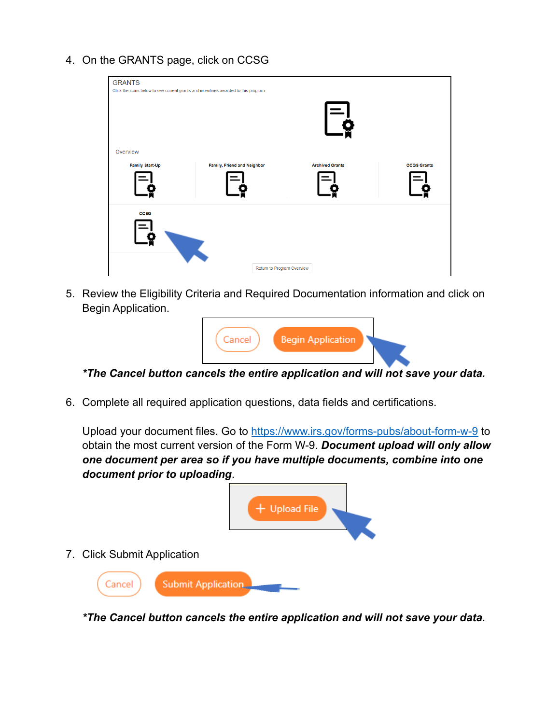4. On the GRANTS page, click on CCSG

| <b>GRANTS</b><br>Click the icons below to see current grants and incentives awarded to this program. |                            |                           |                    |
|------------------------------------------------------------------------------------------------------|----------------------------|---------------------------|--------------------|
|                                                                                                      |                            | $\mathsf{F}_{\mathbf{0}}$ |                    |
| Overview                                                                                             |                            |                           |                    |
| Family Start-Up<br>Family, Friend and Neighbor                                                       |                            | <b>Archived Grants</b>    | <b>CCQS Grants</b> |
| ccsc                                                                                                 |                            |                           |                    |
|                                                                                                      | Return to Program Overview |                           |                    |

5. Review the Eligibility Criteria and Required Documentation information and click on Begin Application.



*\*The Cancel button cancels the entire application and will not save your data.*

6. Complete all required application questions, data fields and certifications.

Upload your document files. Go to https://www.irs.gov/forms-pubs/about-form-w-9 to obtain the most current version of the Form W-9. *Document upload will only allow one document per area so if you have multiple documents, combine into one document prior to uploading*.



*\*The Cancel button cancels the entire application and will not save your data.*